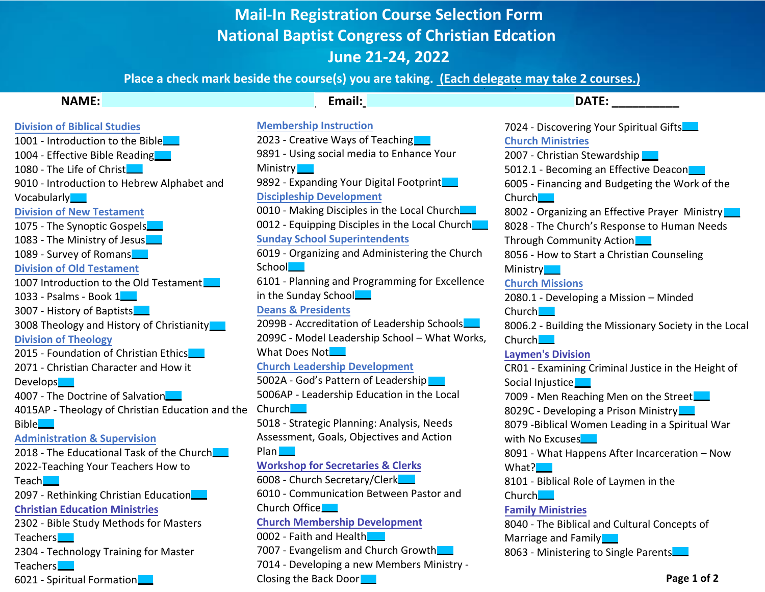## **Mail-In Registration Course Selection Form National Baptist Congress of Christian Edcation June 21-2ϰ, 2022**

**Place a check mark beside the course(s) you are taking. (Each delegate may take 2 courses.)** 

| <b>NAME:</b>                                     | Email:                                         | <b>DATE:</b>                                          |
|--------------------------------------------------|------------------------------------------------|-------------------------------------------------------|
| <b>Division of Biblical Studies</b>              | <b>Membership Instruction</b>                  | 7024 - Discovering Your Spiritual Gifts               |
| 1001 - Introduction to the Bible                 | 2023 - Creative Ways of Teaching               | <b>Church Ministries</b>                              |
| 1004 - Effective Bible Reading                   | 9891 - Using social media to Enhance Your      | 2007 - Christian Stewardship                          |
| 1080 - The Life of Christ                        | Ministry <b>Less</b>                           | 5012.1 - Becoming an Effective Deacon                 |
| 9010 - Introduction to Hebrew Alphabet and       | 9892 - Expanding Your Digital Footprint        | 6005 - Financing and Budgeting the Work of the        |
| Vocabularly <b>NN</b>                            | <b>Discipleship Development</b>                | Church                                                |
| <b>Division of New Testament</b>                 | 0010 - Making Disciples in the Local Church    | 8002 - Organizing an Effective Prayer Ministry        |
| 1075 - The Synoptic Gospels                      | 0012 - Equipping Disciples in the Local Church | 8028 - The Church's Response to Human Needs           |
| 1083 - The Ministry of Jesus                     | <b>Sunday School Superintendents</b>           | Through Community Action                              |
| 1089 - Survey of Romans                          | 6019 - Organizing and Administering the Church | 8056 - How to Start a Christian Counseling            |
| <b>Division of Old Testament</b>                 | School <u>L</u>                                | Ministry <b>Let</b>                                   |
| 1007 Introduction to the Old Testament           | 6101 - Planning and Programming for Excellence | <b>Church Missions</b>                                |
| 1033 - Psalms - Book 1.                          | in the Sunday School                           | 2080.1 - Developing a Mission - Minded                |
| 3007 - History of Baptists                       | <b>Deans &amp; Presidents</b>                  | Church.                                               |
| 3008 Theology and History of Christianity        | 2099B - Accreditation of Leadership Schools    | 8006.2 - Building the Missionary Society in the Local |
| <b>Division of Theology</b>                      | 2099C - Model Leadership School - What Works,  | $Church$ <sub>---</sub>                               |
| 2015 - Foundation of Christian Ethics            | What Does Not_                                 | <b>Laymen's Division</b>                              |
| 2071 - Christian Character and How it            | <b>Church Leadership Development</b>           | CR01 - Examining Criminal Justice in the Height of    |
| Develops <b></b>                                 | 5002A - God's Pattern of Leadership            | Social Injustice                                      |
| 4007 - The Doctrine of Salvation                 | 5006AP - Leadership Education in the Local     | 7009 - Men Reaching Men on the Street                 |
| 4015AP - Theology of Christian Education and the | Church <b>Lege</b>                             | 8029C - Developing a Prison Ministry                  |
| Bible__                                          | 5018 - Strategic Planning: Analysis, Needs     | 8079 - Biblical Women Leading in a Spiritual War      |
| <b>Administration &amp; Supervision</b>          | Assessment, Goals, Objectives and Action       | with No Excuses                                       |
| 2018 - The Educational Task of the Church        | $Plan$ <sub><math>\qquad</math></sub>          | 8091 - What Happens After Incarceration - Now         |
| 2022-Teaching Your Teachers How to               | <b>Workshop for Secretaries &amp; Clerks</b>   | What? <b>New</b>                                      |
| Teach <b>le a</b>                                | 6008 - Church Secretary/Clerk                  | 8101 - Biblical Role of Laymen in the                 |
| 2097 - Rethinking Christian Education            | 6010 - Communication Between Pastor and        | Church__                                              |
| <b>Christian Education Ministries</b>            | Church Office                                  | <b>Family Ministries</b>                              |
| 2302 - Bible Study Methods for Masters           | <b>Church Membership Development</b>           | 8040 - The Biblical and Cultural Concepts of          |
| Teachers <b></b>                                 | 0002 - Faith and Health                        | Marriage and Family                                   |
| 2304 - Technology Training for Master            | 7007 - Evangelism and Church Growth            | 8063 - Ministering to Single Parents.                 |
| Teachers <b>Lett</b>                             | 7014 - Developing a new Members Ministry -     |                                                       |
| 6021 - Spiritual Formation                       | Closing the Back Door                          | Page 1 of 2                                           |